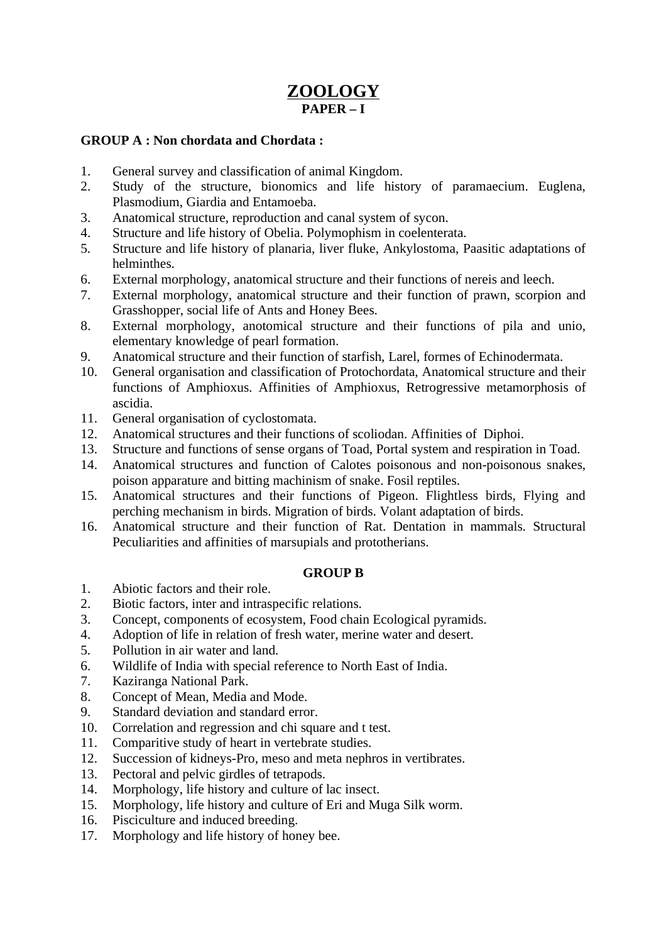# **ZOOLOGY PAPER – I**

### **GROUP A : Non chordata and Chordata :**

- 1. General survey and classification of animal Kingdom.
- 2. Study of the structure, bionomics and life history of paramaecium. Euglena, Plasmodium, Giardia and Entamoeba.
- 3. Anatomical structure, reproduction and canal system of sycon.
- 4. Structure and life history of Obelia. Polymophism in coelenterata.
- 5. Structure and life history of planaria, liver fluke, Ankylostoma, Paasitic adaptations of helminthes.
- 6. External morphology, anatomical structure and their functions of nereis and leech.
- 7. External morphology, anatomical structure and their function of prawn, scorpion and Grasshopper, social life of Ants and Honey Bees.
- 8. External morphology, anotomical structure and their functions of pila and unio, elementary knowledge of pearl formation.
- 9. Anatomical structure and their function of starfish, Larel, formes of Echinodermata.
- 10. General organisation and classification of Protochordata, Anatomical structure and their functions of Amphioxus. Affinities of Amphioxus, Retrogressive metamorphosis of ascidia.
- 11. General organisation of cyclostomata.
- 12. Anatomical structures and their functions of scoliodan. Affinities of Diphoi.
- 13. Structure and functions of sense organs of Toad, Portal system and respiration in Toad.
- 14. Anatomical structures and function of Calotes poisonous and non-poisonous snakes, poison apparature and bitting machinism of snake. Fosil reptiles.
- 15. Anatomical structures and their functions of Pigeon. Flightless birds, Flying and perching mechanism in birds. Migration of birds. Volant adaptation of birds.
- 16. Anatomical structure and their function of Rat. Dentation in mammals. Structural Peculiarities and affinities of marsupials and prototherians.

# **GROUP B**

- 1. Abiotic factors and their role.
- 2. Biotic factors, inter and intraspecific relations.
- 3. Concept, components of ecosystem, Food chain Ecological pyramids.
- 4. Adoption of life in relation of fresh water, merine water and desert.
- 5. Pollution in air water and land.
- 6. Wildlife of India with special reference to North East of India.
- 7. Kaziranga National Park.
- 8. Concept of Mean, Media and Mode.
- 9. Standard deviation and standard error.
- 10. Correlation and regression and chi square and t test.
- 11. Comparitive study of heart in vertebrate studies.
- 12. Succession of kidneys-Pro, meso and meta nephros in vertibrates.
- 13. Pectoral and pelvic girdles of tetrapods.
- 14. Morphology, life history and culture of lac insect.
- 15. Morphology, life history and culture of Eri and Muga Silk worm.
- 16. Pisciculture and induced breeding.
- 17. Morphology and life history of honey bee.